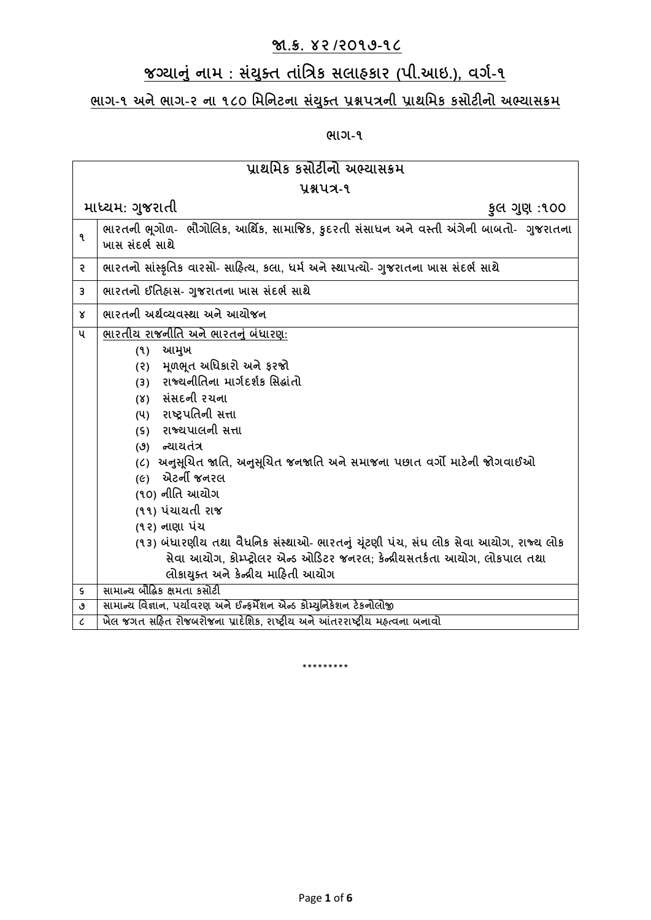## **જા.ક્ર. ૪૨ /૨૦૧૭-૧૮**

## **જગ્યાનું નામ : સયું ક્ ત તાુંત્રિક સલાહકાર (પી.આઇ.), વર્ગ-૧**

## **ભાર્-૧ અનેભાર્-૨ ના ૧૮૦ ત્રમત્રનટના સયું ક્ ત પ્રશ્નપિની પ્રાથત્રમક કસોટીનો અભ્યાસક્રમ**

**ભાર્-૧**

| પ્રાથમિક કસોટીનો અભ્યાસક્રમ |                                                                                                                                                                                                                                                                                                                                                                                                                                                                                                                                                                                     |  |
|-----------------------------|-------------------------------------------------------------------------------------------------------------------------------------------------------------------------------------------------------------------------------------------------------------------------------------------------------------------------------------------------------------------------------------------------------------------------------------------------------------------------------------------------------------------------------------------------------------------------------------|--|
| પ્રશ્નપત્ર-૧                |                                                                                                                                                                                                                                                                                                                                                                                                                                                                                                                                                                                     |  |
|                             | માધ્યમ: ગુજરાતી<br>કુલ ગુણ :૧૦૦                                                                                                                                                                                                                                                                                                                                                                                                                                                                                                                                                     |  |
| ٩                           | ભારતની ભૂગોળ- ભૌગોલિક, આર્થિક, સામાજિક, કુદરતી સંસાધન અને વસ્તી અંગેની બાબતો- ગુજરાતના<br>ખાસ સંદર્ભ સાથે                                                                                                                                                                                                                                                                                                                                                                                                                                                                           |  |
| २                           | ભારતનો સાંસ્કૃતિક વારસો- સાહિત્ય, કલા, ધર્મ અને સ્થાપત્યો- ગુજરાતના ખાસ સંદર્ભ સાથે                                                                                                                                                                                                                                                                                                                                                                                                                                                                                                 |  |
| 3                           | ભારતનો ઈતિહ્રાસ- ગુજરાતના ખાસ સંદર્ભ સાથે                                                                                                                                                                                                                                                                                                                                                                                                                                                                                                                                           |  |
| Χ                           | ભારતની અર્થવ્યવસ્થા અને આયોજન                                                                                                                                                                                                                                                                                                                                                                                                                                                                                                                                                       |  |
| ૫                           | ભારતીય રાજનીતિ અને ભારતનું બંધારણ:<br>આમુખ<br>(9)<br>(૨) મૂળભૂત અધિકારો અને ફરજો<br>રાજ્યનીતિના માર્ગદર્શક સિદ્ધાંતો<br>(3)<br>(४) સંસદની રચના<br>(૫) રાષ્ટ્રપતિની સત્તા<br>(s) રાજ્યપાલની સત્તા<br>(૭) ન્યાયતંત્ર<br>(૮)  અનુસૂચિત જાતિ, અનુસૂચિત જનજાતિ અને સમાજના પછાત વર્ગો માટેની જોગવાઈઓ<br>(૯) એટર્ની જનરલ<br>(૧૦) નીતિ આયોગ<br>(૧૧) પંચાયતી રાજ<br>(૧૨) નાણા પંચ<br>(૧૩) બંધારણીય તથા વૈધનિક સંસ્થાઓ- ભારતનું ચૂંટણી પંચ, સંઘ લોક સેવા આયોગ, રાજ્ય લોક<br>સેવા આયોગ, કોમ્પ્ટ્રોલર એન્ડ ઓડિટર જનરલ; કેન્દ્રીયસતર્કતા આયોગ, લોકપાલ તથા<br>લોકાયુક્ત અને કેન્દ્રીય માહિતી આયોગ |  |
| $\mathsf{s}$                | સામાન્ય બૌદ્ધિક ક્ષમતા કસોટી                                                                                                                                                                                                                                                                                                                                                                                                                                                                                                                                                        |  |
| ٯ                           | સામાન્ય વિજ્ઞાન, પર્યાવરણ અને ઈન્ફર્મેશન એન્ડ કોમ્યુનિકેશન ટેકનોલોજી                                                                                                                                                                                                                                                                                                                                                                                                                                                                                                                |  |
| $\pmb{\zeta}$               | ખેલ જગત સહિત રોજબરોજના પ્રાદેશિક, રાષ્ટ્રીય અને આંતરરાષ્ટ્રીય મહ્ત્વના બનાવો                                                                                                                                                                                                                                                                                                                                                                                                                                                                                                        |  |

\*\*\*\*\*\*\*\*\*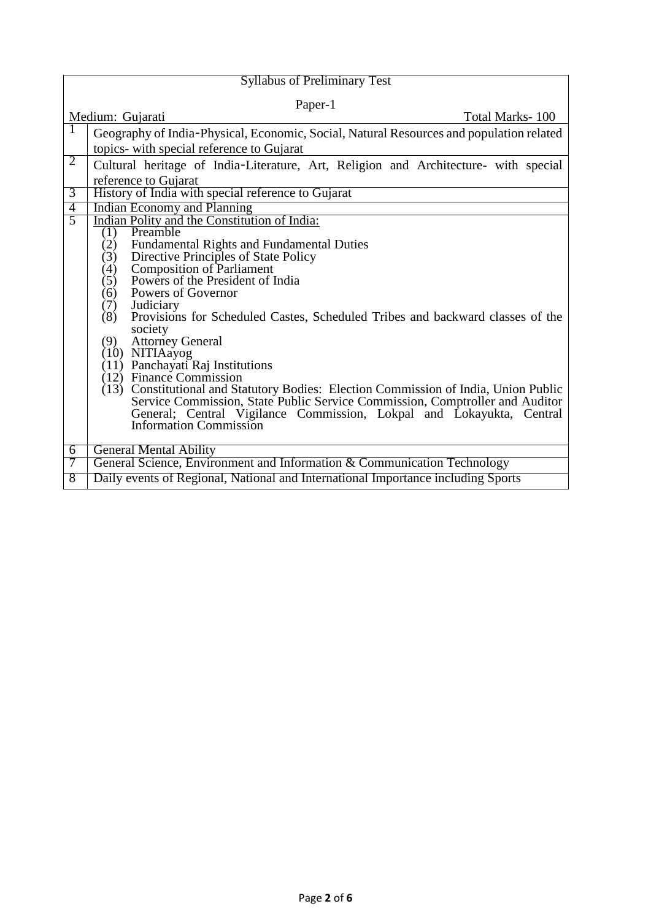| <b>Syllabus of Preliminary Test</b>                                                                   |  |
|-------------------------------------------------------------------------------------------------------|--|
| Paper-1                                                                                               |  |
| Medium: Gujarati<br>Total Marks-100                                                                   |  |
| Geography of India-Physical, Economic, Social, Natural Resources and population related               |  |
| topics- with special reference to Gujarat                                                             |  |
| $\overline{2}$<br>Cultural heritage of India-Literature, Art, Religion and Architecture- with special |  |
| reference to Gujarat                                                                                  |  |
| $\overline{3}$<br>History of India with special reference to Gujarat                                  |  |
| <b>Indian Economy and Planning</b><br>$\overline{4}$                                                  |  |
| $\overline{5}$<br>Indian Polity and the Constitution of India:<br>Preamble                            |  |
| (1)<br>Fundamental Rights and Fundamental Duties<br>(2)                                               |  |
| (3)<br>Directive Principles of State Policy                                                           |  |
| <b>Composition of Parliament</b><br>(4)                                                               |  |
| Powers of the President of India<br>(5)                                                               |  |
| Powers of Governor<br>(6)                                                                             |  |
| Judiciary<br>(7)                                                                                      |  |
| (8)<br>Provisions for Scheduled Castes, Scheduled Tribes and backward classes of the                  |  |
| society<br><b>Attorney General</b><br>(9)                                                             |  |
| (10) NITIAayog                                                                                        |  |
| Panchayati Raj Institutions<br>(11)                                                                   |  |
| $(12)$ Finance Commission                                                                             |  |
| (13) Constitutional and Statutory Bodies: Election Commission of India, Union Public                  |  |
| Service Commission, State Public Service Commission, Comptroller and Auditor                          |  |
| General; Central Vigilance Commission, Lokpal and Lokayukta, Central Information Commission           |  |
|                                                                                                       |  |
| <b>General Mental Ability</b><br>6                                                                    |  |
| General Science, Environment and Information & Communication Technology<br>7                          |  |
| Daily events of Regional, National and International Importance including Sports<br>8                 |  |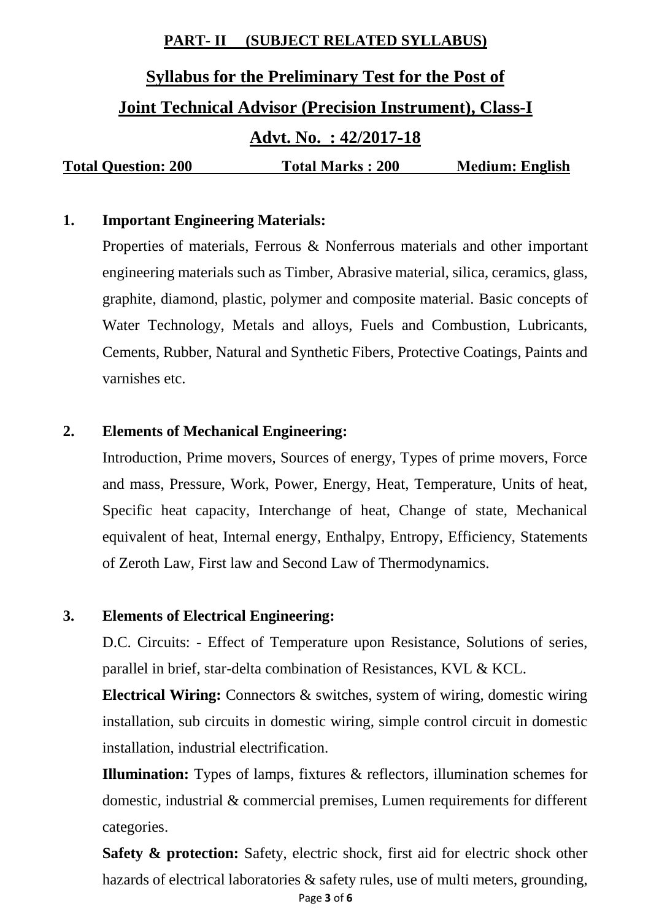#### **PART- II (SUBJECT RELATED SYLLABUS)**

# **Syllabus for the Preliminary Test for the Post of Joint Technical Advisor (Precision Instrument), Class-I Advt. No. : 42/2017-18 Total Question: 200 Total Marks : 200 Medium: English**

#### **1. Important Engineering Materials:**

Properties of materials, Ferrous & Nonferrous materials and other important engineering materials such as Timber, Abrasive material, silica, ceramics, glass, graphite, diamond, plastic, polymer and composite material. Basic concepts of Water Technology, Metals and alloys, Fuels and Combustion, Lubricants, Cements, Rubber, Natural and Synthetic Fibers, Protective Coatings, Paints and varnishes etc.

#### **2. Elements of Mechanical Engineering:**

Introduction, Prime movers, Sources of energy, Types of prime movers, Force and mass, Pressure, Work, Power, Energy, Heat, Temperature, Units of heat, Specific heat capacity, Interchange of heat, Change of state, Mechanical equivalent of heat, Internal energy, Enthalpy, Entropy, Efficiency, Statements of Zeroth Law, First law and Second Law of Thermodynamics.

#### **3. Elements of Electrical Engineering:**

D.C. Circuits: - Effect of Temperature upon Resistance, Solutions of series, parallel in brief, star-delta combination of Resistances, KVL & KCL.

**Electrical Wiring:** Connectors & switches, system of wiring, domestic wiring installation, sub circuits in domestic wiring, simple control circuit in domestic installation, industrial electrification.

**Illumination:** Types of lamps, fixtures & reflectors, illumination schemes for domestic, industrial & commercial premises, Lumen requirements for different categories.

Page **3** of **6 Safety & protection:** Safety, electric shock, first aid for electric shock other hazards of electrical laboratories & safety rules, use of multi meters, grounding,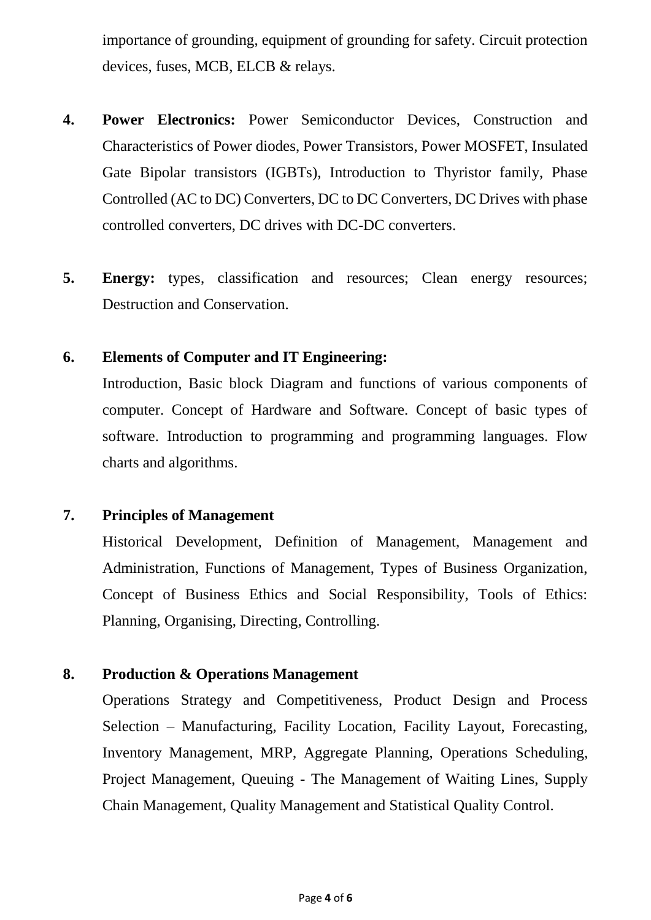importance of grounding, equipment of grounding for safety. Circuit protection devices, fuses, MCB, ELCB & relays.

- **4. Power Electronics:** Power Semiconductor Devices, Construction and Characteristics of Power diodes, Power Transistors, Power MOSFET, Insulated Gate Bipolar transistors (IGBTs), Introduction to Thyristor family, Phase Controlled (AC to DC) Converters, DC to DC Converters, DC Drives with phase controlled converters, DC drives with DC-DC converters.
- **5. Energy:** types, classification and resources; Clean energy resources; Destruction and Conservation.

#### **6. Elements of Computer and IT Engineering:**

Introduction, Basic block Diagram and functions of various components of computer. Concept of Hardware and Software. Concept of basic types of software. Introduction to programming and programming languages. Flow charts and algorithms.

#### **7. Principles of Management**

Historical Development, Definition of Management, Management and Administration, Functions of Management, Types of Business Organization, Concept of Business Ethics and Social Responsibility, Tools of Ethics: Planning, Organising, Directing, Controlling.

#### **8. Production & Operations Management**

Operations Strategy and Competitiveness, Product Design and Process Selection – Manufacturing, Facility Location, Facility Layout, Forecasting, Inventory Management, MRP, Aggregate Planning, Operations Scheduling, Project Management, Queuing - The Management of Waiting Lines, Supply Chain Management, Quality Management and Statistical Quality Control.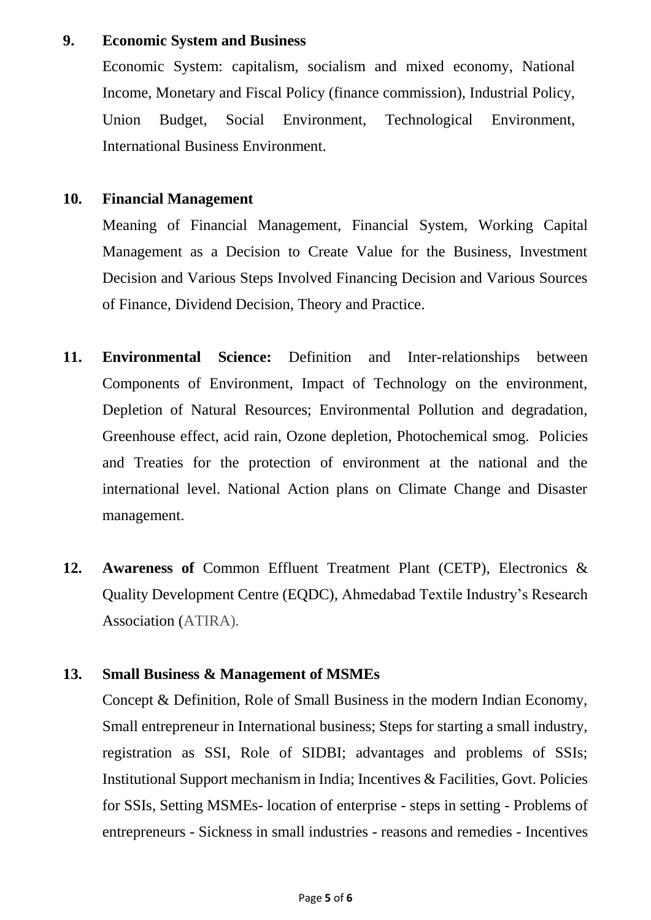#### **9. Economic System and Business**

Economic System: capitalism, socialism and mixed economy, National Income, Monetary and Fiscal Policy (finance commission), Industrial Policy, Union Budget, Social Environment, Technological Environment, International Business Environment.

#### **10. Financial Management**

Meaning of Financial Management, Financial System, Working Capital Management as a Decision to Create Value for the Business, Investment Decision and Various Steps Involved Financing Decision and Various Sources of Finance, Dividend Decision, Theory and Practice.

- **11. Environmental Science:** Definition and Inter-relationships between Components of Environment, Impact of Technology on the environment, Depletion of Natural Resources; Environmental Pollution and degradation, Greenhouse effect, acid rain, Ozone depletion, Photochemical smog. Policies and Treaties for the protection of environment at the national and the international level. National Action plans on Climate Change and Disaster management.
- **12. Awareness of** Common Effluent Treatment Plant (CETP), Electronics & Quality Development Centre (EQDC), Ahmedabad Textile Industry's Research Association (ATIRA).

#### **13. Small Business & Management of MSMEs**

Concept & Definition, Role of Small Business in the modern Indian Economy, Small entrepreneur in International business; Steps for starting a small industry, registration as SSI, Role of SIDBI; advantages and problems of SSIs; Institutional Support mechanism in India; Incentives & Facilities, Govt. Policies for SSIs, Setting MSMEs- location of enterprise - steps in setting - Problems of entrepreneurs - Sickness in small industries - reasons and remedies - Incentives